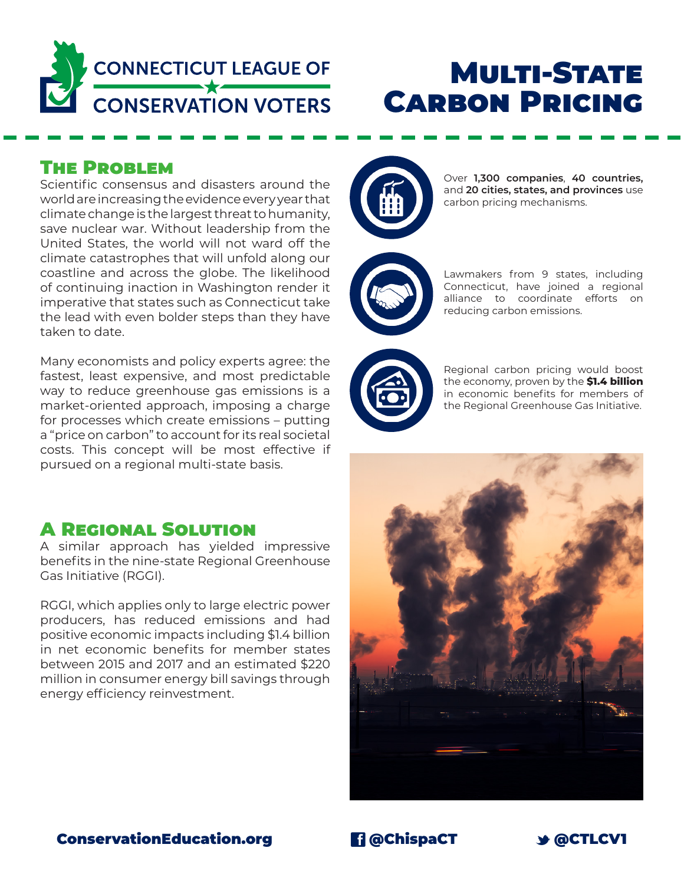

# **MULTI-STATE CARBON PRICING**

#### The Problem

Scientific consensus and disasters around the world are increasing the evidence every year that climate change is the largest threat to humanity, save nuclear war. Without leadership from the United States, the world will not ward off the climate catastrophes that will unfold along our coastline and across the globe. The likelihood of continuing inaction in Washington render it imperative that states such as Connecticut take the lead with even bolder steps than they have taken to date.

Many economists and policy experts agree: the fastest, least expensive, and most predictable way to reduce greenhouse gas emissions is a market-oriented approach, imposing a charge for processes which create emissions – putting a "price on carbon" to account for its real societal costs. This concept will be most effective if pursued on a regional multi-state basis.

## A Regional Solution

A similar approach has yielded impressive benefits in the nine-state Regional Greenhouse Gas Initiative (RGGI).

RGGI, which applies only to large electric power producers, has reduced emissions and had positive economic impacts including \$1.4 billion in net economic benefits for member states between 2015 and 2017 and an estimated \$220 million in consumer energy bill savings through energy efficiency reinvestment.



Over **1,300 companies**, **40 countries,**  and **20 cities, states, and provinces** use carbon pricing mechanisms.

Lawmakers from 9 states, including Connecticut, have joined a regional alliance to coordinate efforts on reducing carbon emissions.



Regional carbon pricing would boost the economy, proven by the **\$1.4 billion**  in economic benefits for members of the Regional Greenhouse Gas Initiative.